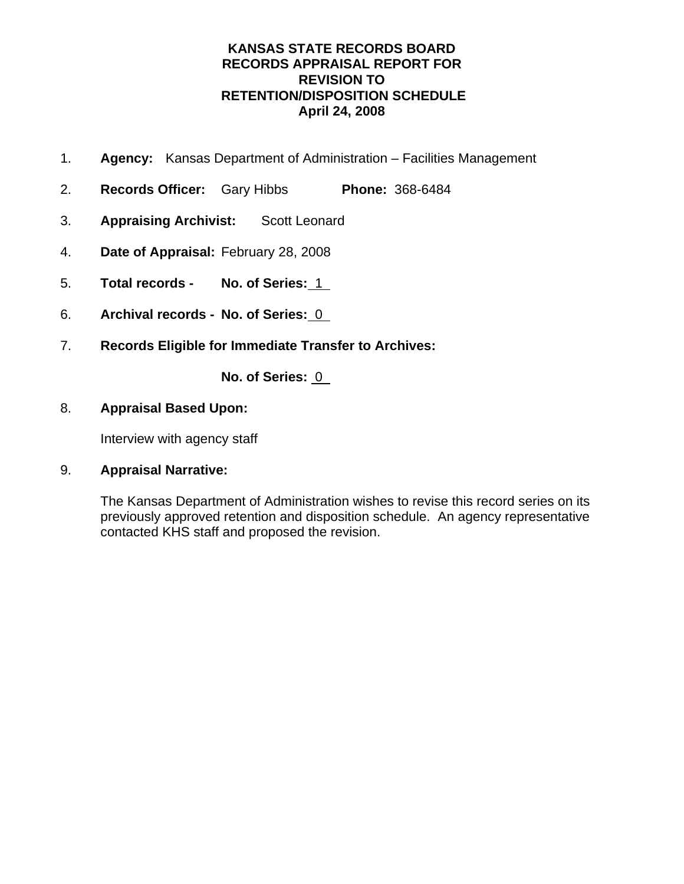- 1. **Agency:** Kansas Department of Administration Facilities Management
- 2. **Records Officer:** Gary Hibbs **Phone:** 368-6484
- 3. **Appraising Archivist:** Scott Leonard
- 4. **Date of Appraisal:** February 28, 2008
- 5. **Total records No. of Series:** 1
- 6. **Archival records No. of Series:** 0
- 7. **Records Eligible for Immediate Transfer to Archives:**

**No. of Series:** 0

### 8. **Appraisal Based Upon:**

Interview with agency staff

## 9. **Appraisal Narrative:**

The Kansas Department of Administration wishes to revise this record series on its previously approved retention and disposition schedule. An agency representative contacted KHS staff and proposed the revision.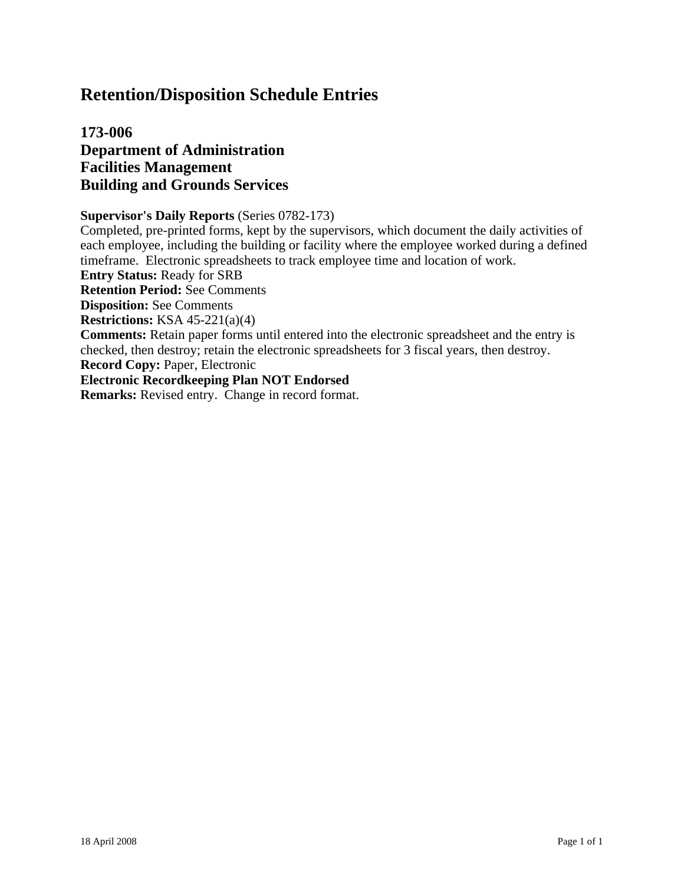# **173-006 Department of Administration Facilities Management Building and Grounds Services**

#### **Supervisor's Daily Reports** (Series 0782-173)

Completed, pre-printed forms, kept by the supervisors, which document the daily activities of each employee, including the building or facility where the employee worked during a defined timeframe. Electronic spreadsheets to track employee time and location of work.

**Entry Status:** Ready for SRB

**Retention Period:** See Comments

**Disposition:** See Comments

**Restrictions:** KSA 45-221(a)(4)

**Comments:** Retain paper forms until entered into the electronic spreadsheet and the entry is checked, then destroy; retain the electronic spreadsheets for 3 fiscal years, then destroy.

**Record Copy:** Paper, Electronic

#### **Electronic Recordkeeping Plan NOT Endorsed**

**Remarks:** Revised entry. Change in record format.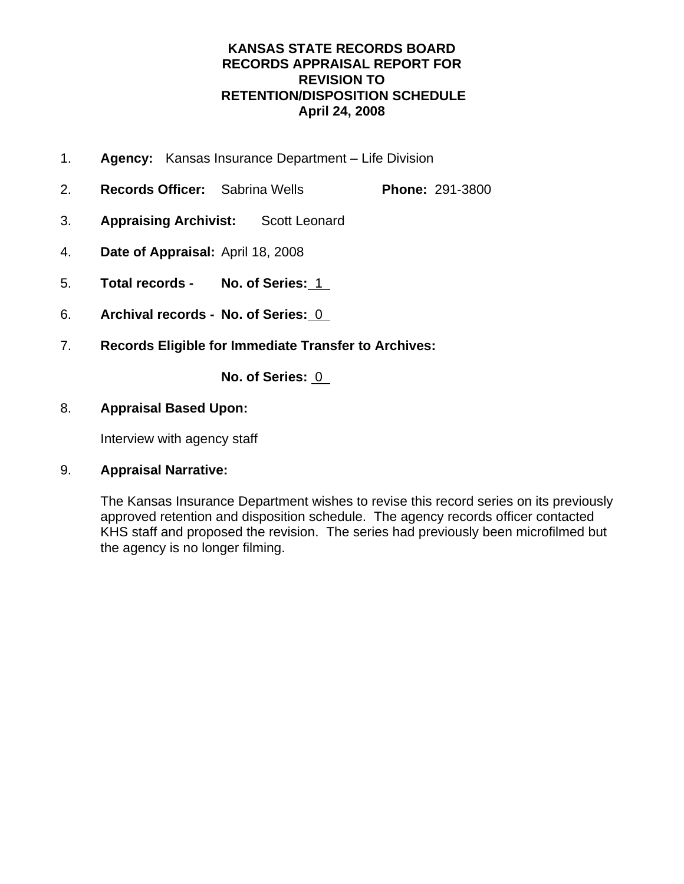- 1. **Agency:** Kansas Insurance Department Life Division
- 2. **Records Officer:** Sabrina Wells **Phone:** 291-3800
- 3. **Appraising Archivist:** Scott Leonard
- 4. **Date of Appraisal:** April 18, 2008
- 5. **Total records No. of Series:** 1
- 6. **Archival records No. of Series:** 0
- 7. **Records Eligible for Immediate Transfer to Archives:**

**No. of Series:** 0

## 8. **Appraisal Based Upon:**

Interview with agency staff

## 9. **Appraisal Narrative:**

The Kansas Insurance Department wishes to revise this record series on its previously approved retention and disposition schedule. The agency records officer contacted KHS staff and proposed the revision. The series had previously been microfilmed but the agency is no longer filming.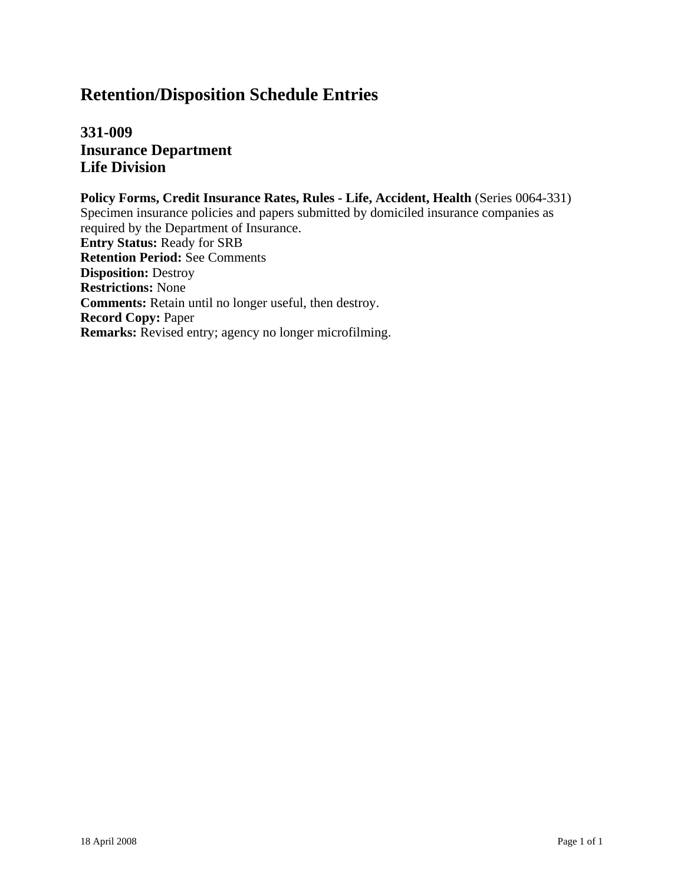**331-009 Insurance Department Life Division**

**Policy Forms, Credit Insurance Rates, Rules - Life, Accident, Health** (Series 0064-331) Specimen insurance policies and papers submitted by domiciled insurance companies as required by the Department of Insurance. **Entry Status:** Ready for SRB **Retention Period:** See Comments **Disposition:** Destroy **Restrictions:** None **Comments:** Retain until no longer useful, then destroy. **Record Copy:** Paper **Remarks:** Revised entry; agency no longer microfilming.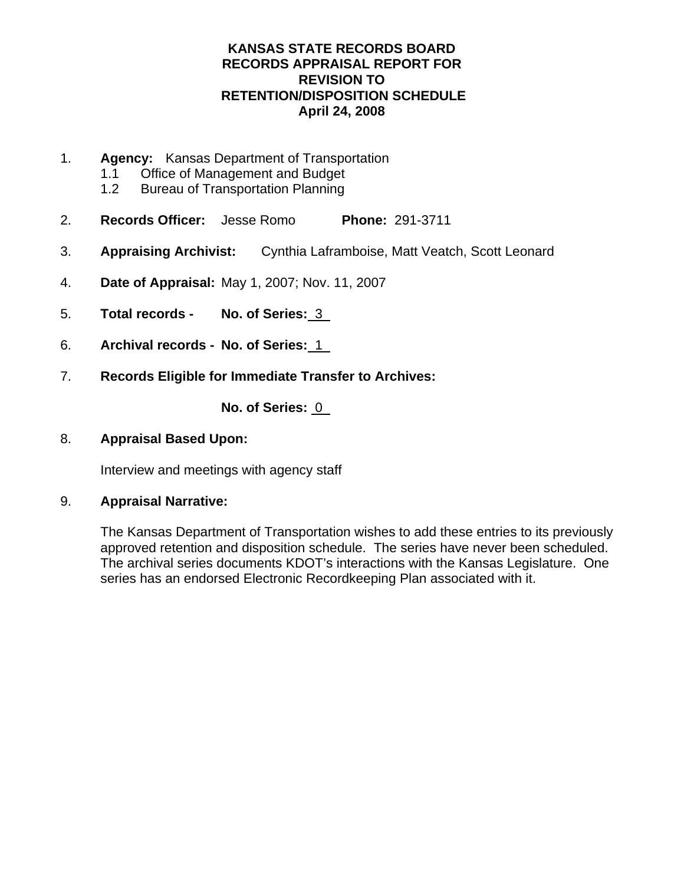- 1. **Agency:** Kansas Department of Transportation
	- 1.1 Office of Management and Budget
	- 1.2 Bureau of Transportation Planning
- 2. **Records Officer:** Jesse Romo **Phone:** 291-3711
- 3. **Appraising Archivist:** Cynthia Laframboise, Matt Veatch, Scott Leonard
- 4. **Date of Appraisal:** May 1, 2007; Nov. 11, 2007
- 5. **Total records No. of Series:** 3
- 6. **Archival records No. of Series:** 1
- 7. **Records Eligible for Immediate Transfer to Archives:**

**No. of Series:** 0

8. **Appraisal Based Upon:**

Interview and meetings with agency staff

9. **Appraisal Narrative:** 

The Kansas Department of Transportation wishes to add these entries to its previously approved retention and disposition schedule. The series have never been scheduled. The archival series documents KDOT's interactions with the Kansas Legislature. One series has an endorsed Electronic Recordkeeping Plan associated with it.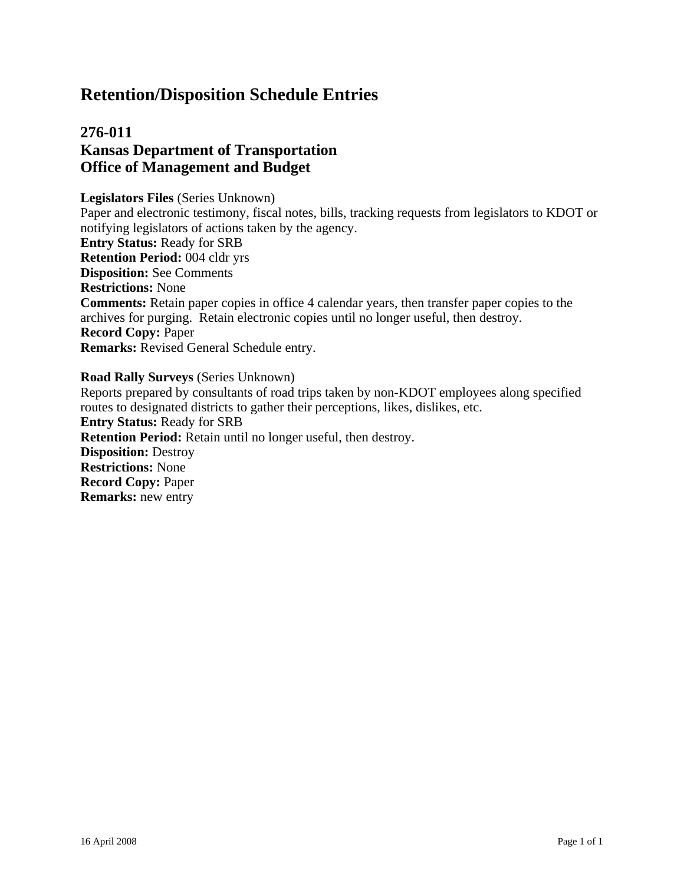# **276-011 Kansas Department of Transportation Office of Management and Budget**

**Legislators Files** (Series Unknown) Paper and electronic testimony, fiscal notes, bills, tracking requests from legislators to KDOT or notifying legislators of actions taken by the agency. **Entry Status:** Ready for SRB **Retention Period:** 004 cldr yrs **Disposition:** See Comments **Restrictions:** None **Comments:** Retain paper copies in office 4 calendar years, then transfer paper copies to the archives for purging. Retain electronic copies until no longer useful, then destroy. **Record Copy:** Paper **Remarks:** Revised General Schedule entry.

#### **Road Rally Surveys** (Series Unknown)

Reports prepared by consultants of road trips taken by non-KDOT employees along specified routes to designated districts to gather their perceptions, likes, dislikes, etc. **Entry Status:** Ready for SRB **Retention Period:** Retain until no longer useful, then destroy. **Disposition:** Destroy **Restrictions:** None **Record Copy:** Paper **Remarks:** new entry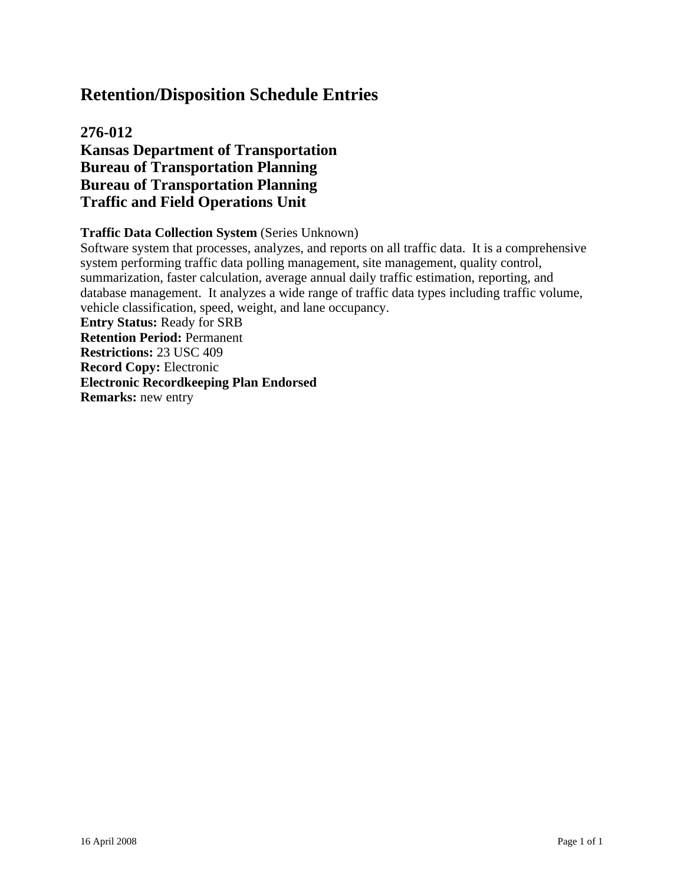# **276-012 Kansas Department of Transportation Bureau of Transportation Planning Bureau of Transportation Planning Traffic and Field Operations Unit**

### **Traffic Data Collection System** (Series Unknown)

Software system that processes, analyzes, and reports on all traffic data. It is a comprehensive system performing traffic data polling management, site management, quality control, summarization, faster calculation, average annual daily traffic estimation, reporting, and database management. It analyzes a wide range of traffic data types including traffic volume, vehicle classification, speed, weight, and lane occupancy.

**Entry Status:** Ready for SRB **Retention Period:** Permanent **Restrictions:** 23 USC 409 **Record Copy:** Electronic **Electronic Recordkeeping Plan Endorsed Remarks:** new entry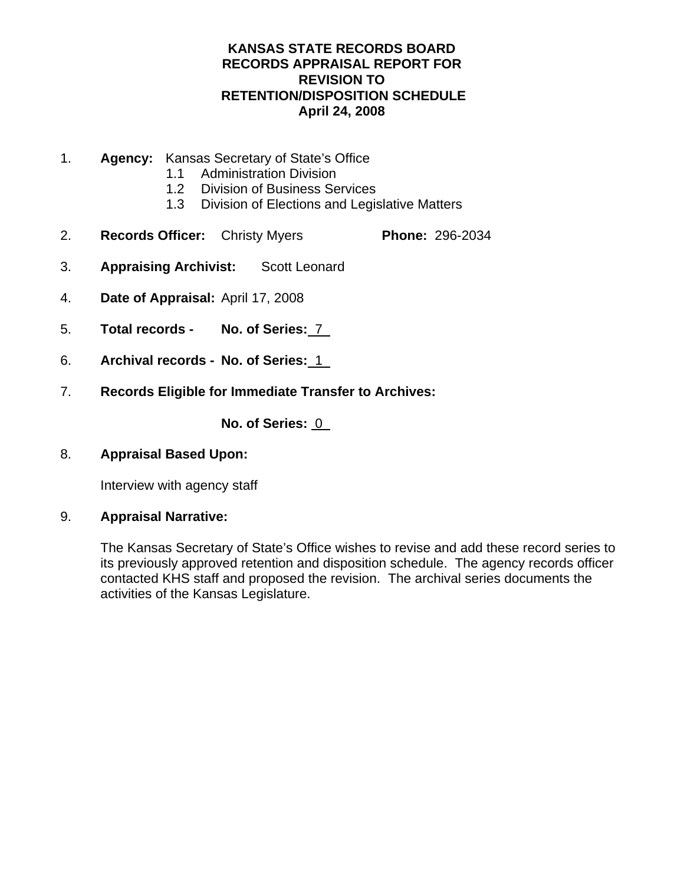- 1. **Agency:** Kansas Secretary of State's Office
	- 1.1 Administration Division
	- 1.2 Division of Business Services
	- 1.3 Division of Elections and Legislative Matters
- 2. **Records Officer:** Christy Myers **Phone:** 296-2034
- 3. **Appraising Archivist:** Scott Leonard
- 4. **Date of Appraisal:** April 17, 2008
- 5. **Total records No. of Series:** 7
- 6. **Archival records No. of Series:** 1
- 7. **Records Eligible for Immediate Transfer to Archives:**

No. of Series: 0

8. **Appraisal Based Upon:**

Interview with agency staff

9. **Appraisal Narrative:** 

The Kansas Secretary of State's Office wishes to revise and add these record series to its previously approved retention and disposition schedule. The agency records officer contacted KHS staff and proposed the revision. The archival series documents the activities of the Kansas Legislature.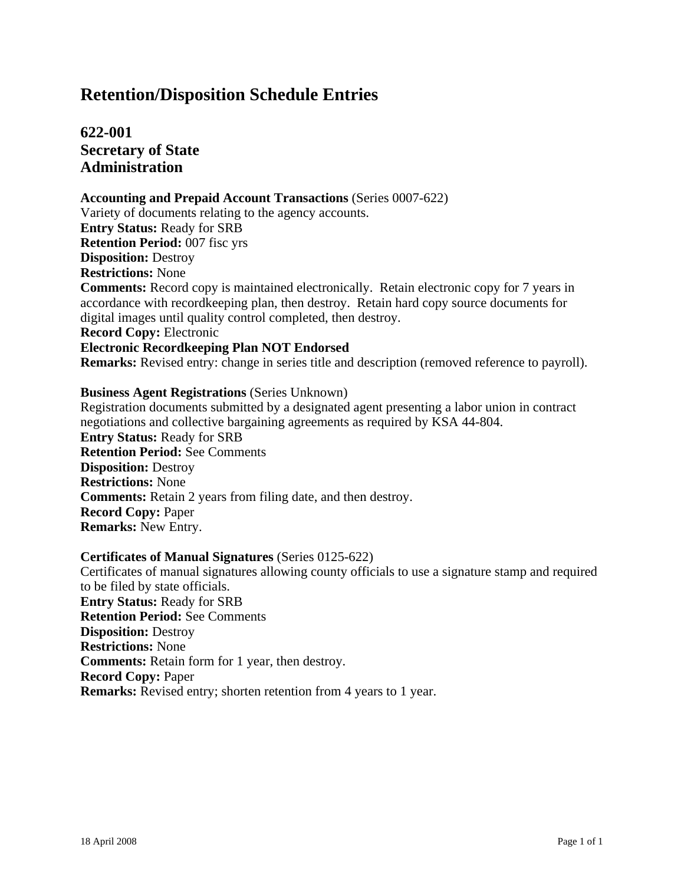# **622-001 Secretary of State Administration**

#### **Accounting and Prepaid Account Transactions** (Series 0007-622)

Variety of documents relating to the agency accounts. **Entry Status:** Ready for SRB **Retention Period:** 007 fisc yrs **Disposition:** Destroy **Restrictions:** None **Comments:** Record copy is maintained electronically. Retain electronic copy for 7 years in accordance with recordkeeping plan, then destroy. Retain hard copy source documents for digital images until quality control completed, then destroy. **Record Copy:** Electronic **Electronic Recordkeeping Plan NOT Endorsed Remarks:** Revised entry: change in series title and description (removed reference to payroll).

#### **Business Agent Registrations** (Series Unknown)

Registration documents submitted by a designated agent presenting a labor union in contract negotiations and collective bargaining agreements as required by KSA 44-804. **Entry Status:** Ready for SRB **Retention Period:** See Comments **Disposition:** Destroy **Restrictions:** None **Comments:** Retain 2 years from filing date, and then destroy. **Record Copy:** Paper **Remarks:** New Entry.

#### **Certificates of Manual Signatures** (Series 0125-622)

Certificates of manual signatures allowing county officials to use a signature stamp and required to be filed by state officials. **Entry Status:** Ready for SRB **Retention Period:** See Comments **Disposition:** Destroy **Restrictions:** None **Comments:** Retain form for 1 year, then destroy. **Record Copy:** Paper **Remarks:** Revised entry; shorten retention from 4 years to 1 year.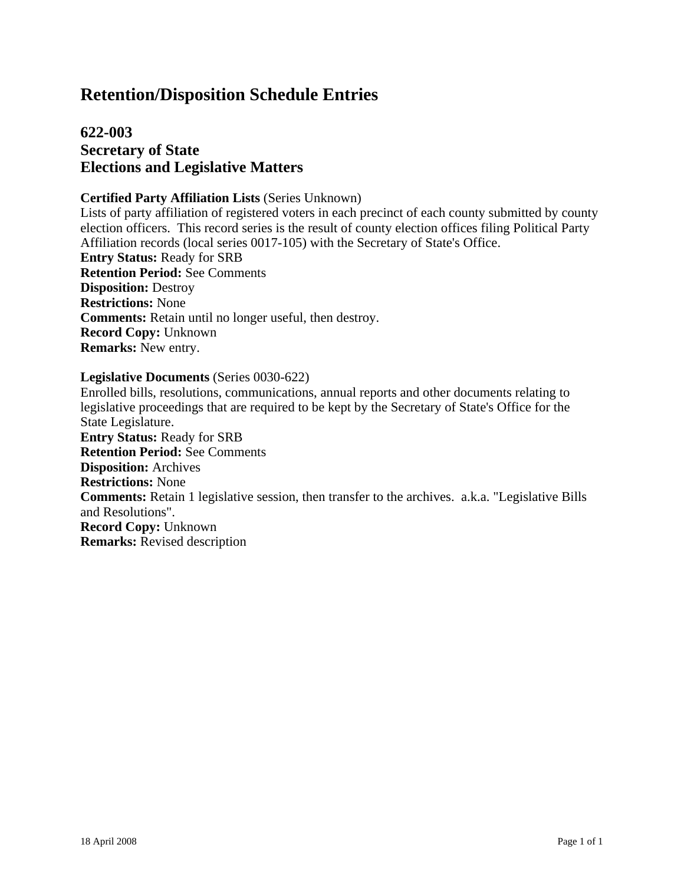# **622-003 Secretary of State Elections and Legislative Matters**

#### **Certified Party Affiliation Lists** (Series Unknown)

Lists of party affiliation of registered voters in each precinct of each county submitted by county election officers. This record series is the result of county election offices filing Political Party Affiliation records (local series 0017-105) with the Secretary of State's Office. **Entry Status:** Ready for SRB **Retention Period:** See Comments **Disposition:** Destroy **Restrictions:** None **Comments:** Retain until no longer useful, then destroy. **Record Copy:** Unknown **Remarks:** New entry.

#### **Legislative Documents** (Series 0030-622)

Enrolled bills, resolutions, communications, annual reports and other documents relating to legislative proceedings that are required to be kept by the Secretary of State's Office for the State Legislature. **Entry Status:** Ready for SRB **Retention Period:** See Comments **Disposition:** Archives **Restrictions:** None **Comments:** Retain 1 legislative session, then transfer to the archives. a.k.a. "Legislative Bills and Resolutions". **Record Copy:** Unknown **Remarks:** Revised description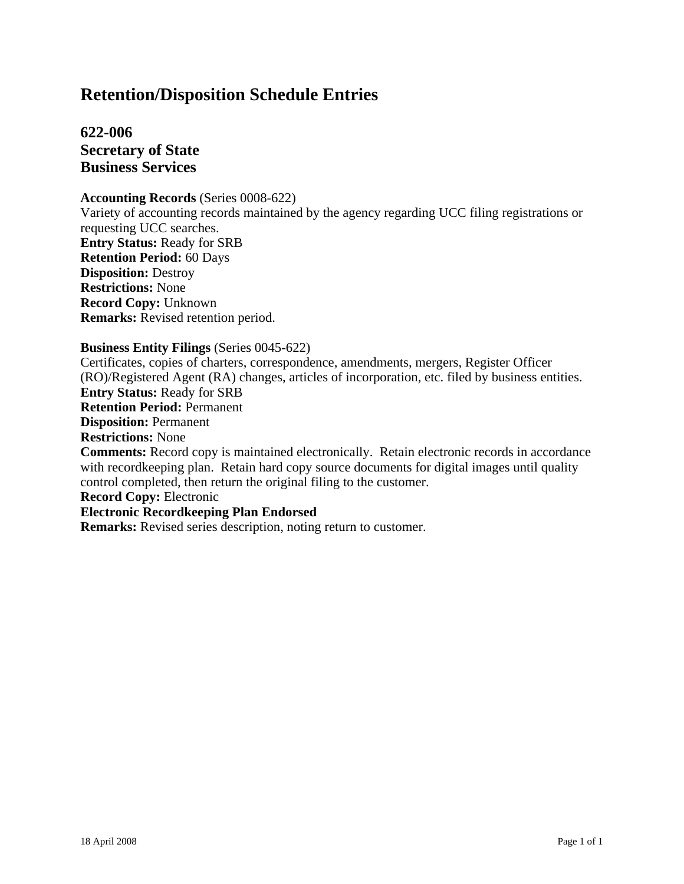**622-006 Secretary of State Business Services**

#### **Accounting Records** (Series 0008-622)

Variety of accounting records maintained by the agency regarding UCC filing registrations or requesting UCC searches. **Entry Status:** Ready for SRB **Retention Period:** 60 Days **Disposition:** Destroy **Restrictions:** None **Record Copy:** Unknown **Remarks:** Revised retention period.

#### **Business Entity Filings** (Series 0045-622)

Certificates, copies of charters, correspondence, amendments, mergers, Register Officer (RO)/Registered Agent (RA) changes, articles of incorporation, etc. filed by business entities. **Entry Status:** Ready for SRB **Retention Period:** Permanent **Disposition:** Permanent **Restrictions:** None **Comments:** Record copy is maintained electronically. Retain electronic records in accordance with record keeping plan. Retain hard copy source documents for digital images until quality control completed, then return the original filing to the customer. **Record Copy:** Electronic **Electronic Recordkeeping Plan Endorsed**

**Remarks:** Revised series description, noting return to customer.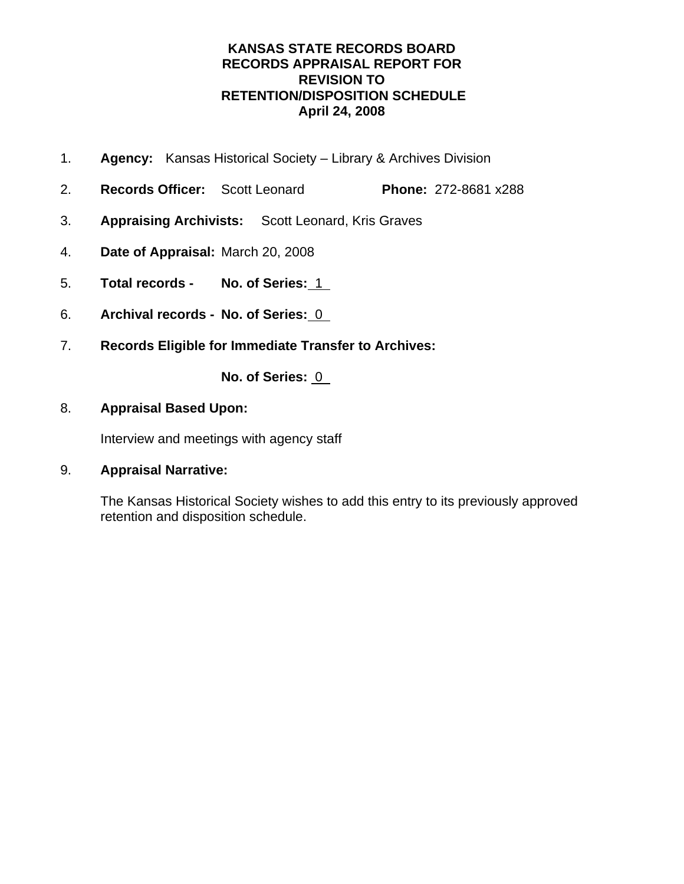- 1. **Agency:** Kansas Historical Society Library & Archives Division
- 2. **Records Officer:** Scott Leonard **Phone:** 272-8681 x288
- 3. **Appraising Archivists:** Scott Leonard, Kris Graves
- 4. **Date of Appraisal:** March 20, 2008
- 5. **Total records No. of Series:** 1
- 6. **Archival records No. of Series:** 0
- 7. **Records Eligible for Immediate Transfer to Archives:**

**No. of Series:** 0

## 8. **Appraisal Based Upon:**

Interview and meetings with agency staff

## 9. **Appraisal Narrative:**

The Kansas Historical Society wishes to add this entry to its previously approved retention and disposition schedule.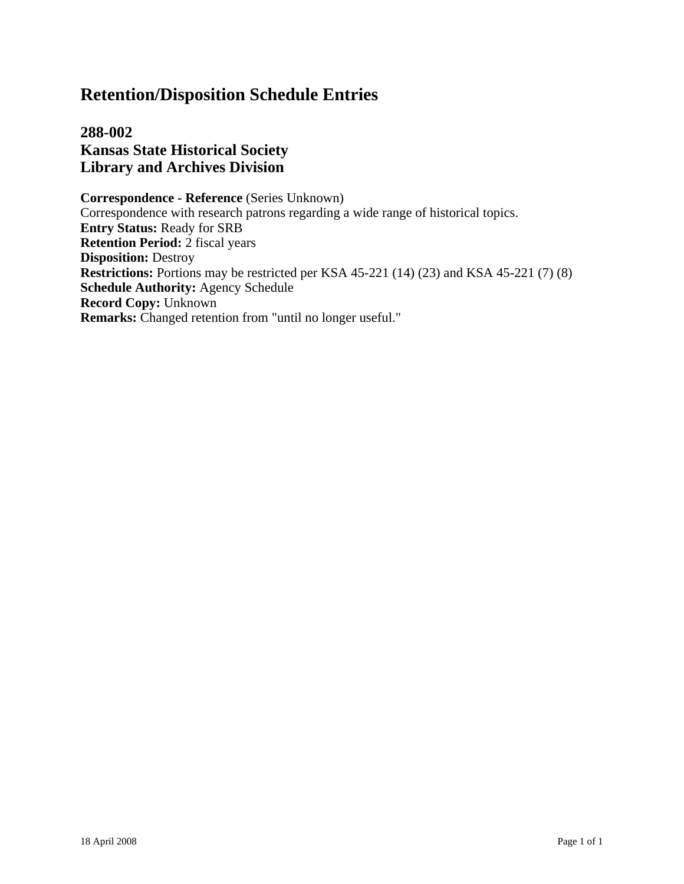**288-002 Kansas State Historical Society Library and Archives Division**

**Correspondence - Reference** (Series Unknown) Correspondence with research patrons regarding a wide range of historical topics. **Entry Status:** Ready for SRB **Retention Period:** 2 fiscal years **Disposition:** Destroy **Restrictions:** Portions may be restricted per KSA 45-221 (14) (23) and KSA 45-221 (7) (8) **Schedule Authority:** Agency Schedule **Record Copy:** Unknown **Remarks:** Changed retention from "until no longer useful."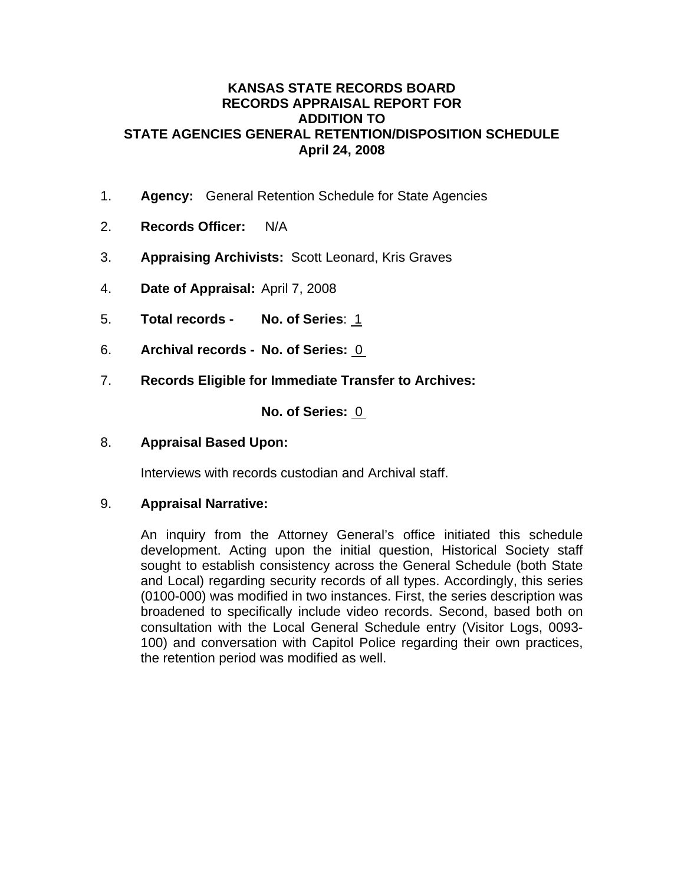### **KANSAS STATE RECORDS BOARD RECORDS APPRAISAL REPORT FOR ADDITION TO STATE AGENCIES GENERAL RETENTION/DISPOSITION SCHEDULE April 24, 2008**

- 1. **Agency:** General Retention Schedule for State Agencies
- 2. **Records Officer:** N/A
- 3. **Appraising Archivists:** Scott Leonard, Kris Graves
- 4. **Date of Appraisal:** April 7, 2008
- 5. **Total records No. of Series**: 1
- 6. **Archival records No. of Series:** 0
- 7. **Records Eligible for Immediate Transfer to Archives:**

**No. of Series:** 0

8. **Appraisal Based Upon:**

Interviews with records custodian and Archival staff.

## 9. **Appraisal Narrative:**

An inquiry from the Attorney General's office initiated this schedule development. Acting upon the initial question, Historical Society staff sought to establish consistency across the General Schedule (both State and Local) regarding security records of all types. Accordingly, this series (0100-000) was modified in two instances. First, the series description was broadened to specifically include video records. Second, based both on consultation with the Local General Schedule entry (Visitor Logs, 0093- 100) and conversation with Capitol Police regarding their own practices, the retention period was modified as well.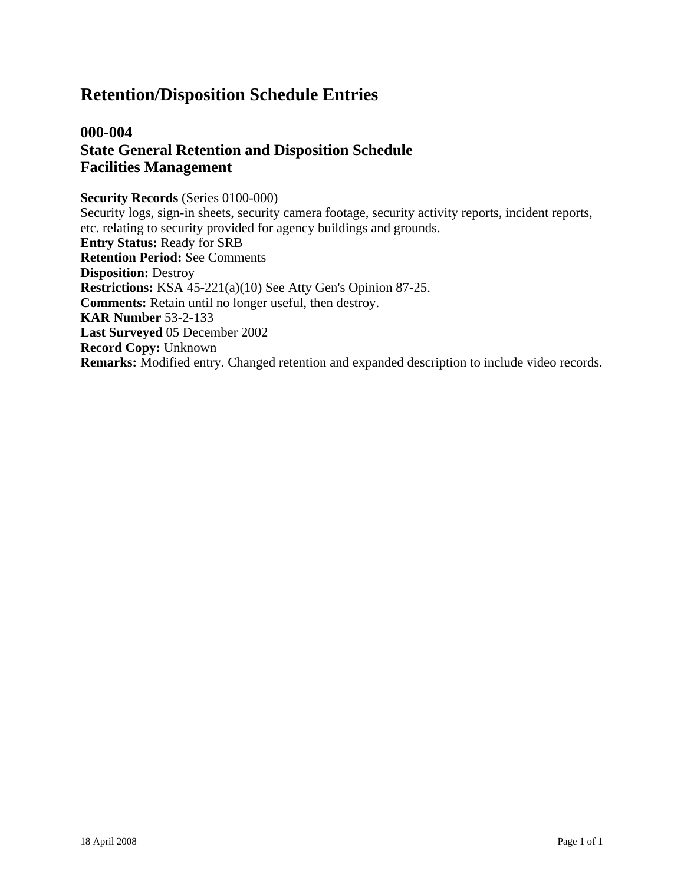# **000-004 State General Retention and Disposition Schedule Facilities Management**

#### **Security Records** (Series 0100-000) Security logs, sign-in sheets, security camera footage, security activity reports, incident reports, etc. relating to security provided for agency buildings and grounds. **Entry Status:** Ready for SRB **Retention Period:** See Comments **Disposition:** Destroy **Restrictions:** KSA 45-221(a)(10) See Atty Gen's Opinion 87-25. **Comments:** Retain until no longer useful, then destroy. **KAR Number** 53-2-133 **Last Surveyed** 05 December 2002 **Record Copy:** Unknown **Remarks:** Modified entry. Changed retention and expanded description to include video records.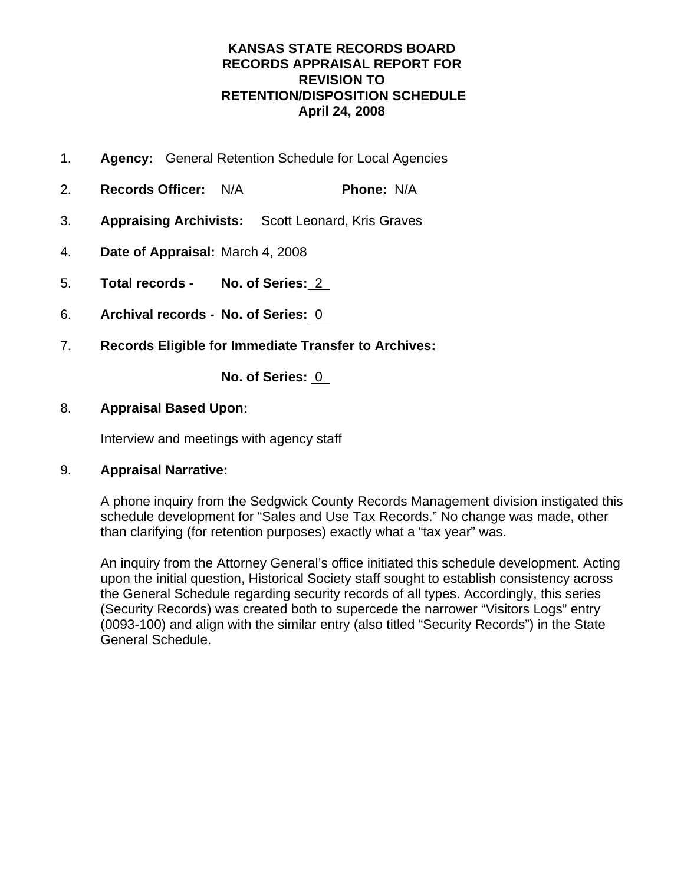- 1. **Agency:** General Retention Schedule for Local Agencies
- 2. **Records Officer:** N/A **Phone:** N/A
- 3. **Appraising Archivists:** Scott Leonard, Kris Graves
- 4. **Date of Appraisal:** March 4, 2008
- 5. **Total records No. of Series:** 2
- 6. **Archival records No. of Series:** 0
- 7. **Records Eligible for Immediate Transfer to Archives:**

**No. of Series:** 0

## 8. **Appraisal Based Upon:**

Interview and meetings with agency staff

## 9. **Appraisal Narrative:**

A phone inquiry from the Sedgwick County Records Management division instigated this schedule development for "Sales and Use Tax Records." No change was made, other than clarifying (for retention purposes) exactly what a "tax year" was.

An inquiry from the Attorney General's office initiated this schedule development. Acting upon the initial question, Historical Society staff sought to establish consistency across the General Schedule regarding security records of all types. Accordingly, this series (Security Records) was created both to supercede the narrower "Visitors Logs" entry (0093-100) and align with the similar entry (also titled "Security Records") in the State General Schedule.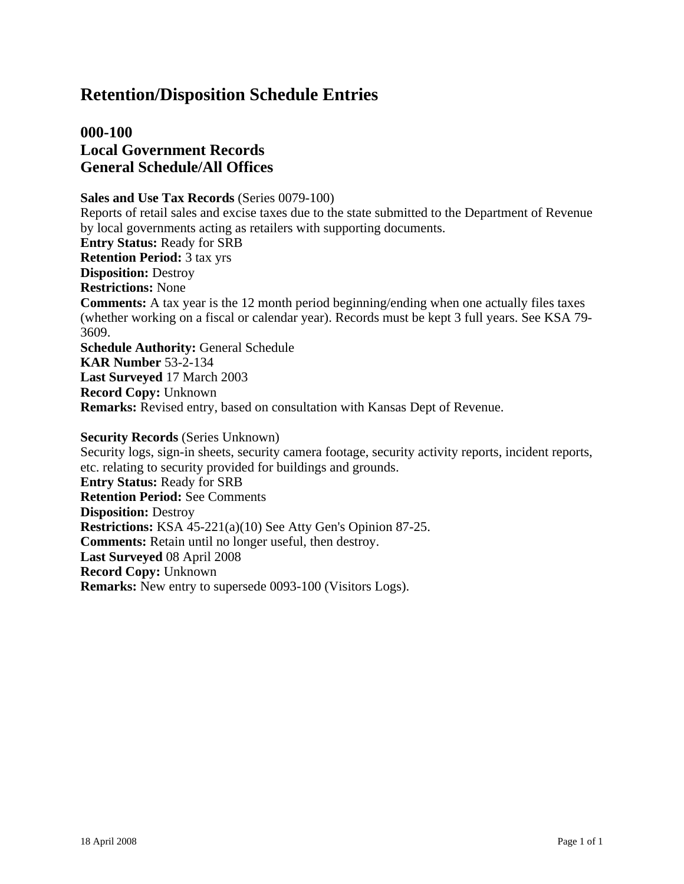# **000-100 Local Government Records General Schedule/All Offices**

**Sales and Use Tax Records** (Series 0079-100) Reports of retail sales and excise taxes due to the state submitted to the Department of Revenue by local governments acting as retailers with supporting documents. **Entry Status:** Ready for SRB **Retention Period:** 3 tax yrs **Disposition:** Destroy **Restrictions:** None **Comments:** A tax year is the 12 month period beginning/ending when one actually files taxes (whether working on a fiscal or calendar year). Records must be kept 3 full years. See KSA 79- 3609. **Schedule Authority:** General Schedule **KAR Number** 53-2-134 **Last Surveyed** 17 March 2003 **Record Copy:** Unknown **Remarks:** Revised entry, based on consultation with Kansas Dept of Revenue.

**Security Records** (Series Unknown) Security logs, sign-in sheets, security camera footage, security activity reports, incident reports, etc. relating to security provided for buildings and grounds. **Entry Status:** Ready for SRB **Retention Period:** See Comments **Disposition:** Destroy **Restrictions:** KSA 45-221(a)(10) See Atty Gen's Opinion 87-25. **Comments:** Retain until no longer useful, then destroy. **Last Surveyed** 08 April 2008 **Record Copy:** Unknown **Remarks:** New entry to supersede 0093-100 (Visitors Logs).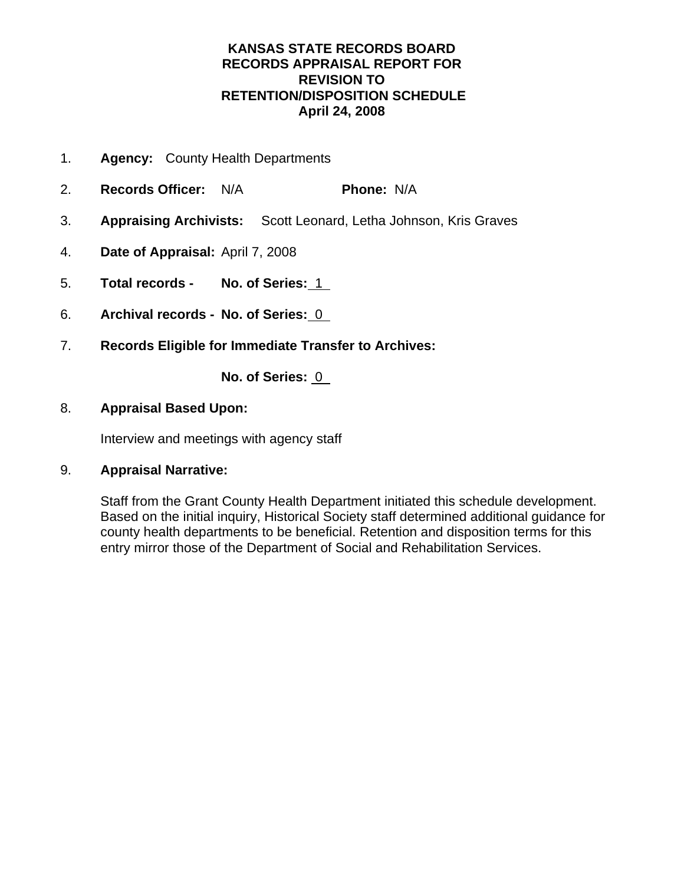- 1. **Agency:** County Health Departments
- 2. **Records Officer:** N/A **Phone:** N/A
- 3. **Appraising Archivists:** Scott Leonard, Letha Johnson, Kris Graves
- 4. **Date of Appraisal:** April 7, 2008
- 5. **Total records No. of Series:** 1
- 6. **Archival records No. of Series:** 0
- 7. **Records Eligible for Immediate Transfer to Archives:**

**No. of Series:** 0

## 8. **Appraisal Based Upon:**

Interview and meetings with agency staff

## 9. **Appraisal Narrative:**

Staff from the Grant County Health Department initiated this schedule development. Based on the initial inquiry, Historical Society staff determined additional guidance for county health departments to be beneficial. Retention and disposition terms for this entry mirror those of the Department of Social and Rehabilitation Services.